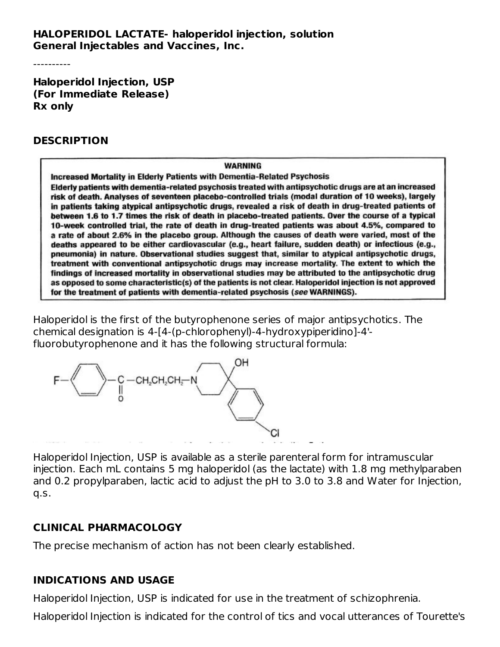**HALOPERIDOL LACTATE- haloperidol injection, solution General Injectables and Vaccines, Inc.**

----------

**Haloperidol Injection, USP (For Immediate Release) Rx only**

#### **DESCRIPTION**

#### **WARNING**

**Increased Mortality in Elderly Patients with Dementia-Related Psychosis** 

Elderly patients with dementia-related psychosis treated with antipsychotic drugs are at an increased risk of death. Analyses of seventeen placebo-controlled trials (modal duration of 10 weeks), largely in patients taking atypical antipsychotic drugs, revealed a risk of death in drug-treated patients of between 1.6 to 1.7 times the risk of death in placebo-treated patients. Over the course of a typical 10-week controlled trial, the rate of death in drug-treated patients was about 4.5%, compared to a rate of about 2.6% in the placebo group. Although the causes of death were varied, most of the deaths appeared to be either cardiovascular (e.g., heart failure, sudden death) or infectious (e.g., pneumonia) in nature. Observational studies suggest that, similar to atypical antipsychotic drugs, treatment with conventional antipsychotic drugs may increase mortality. The extent to which the findings of increased mortality in observational studies may be attributed to the antipsychotic drug as opposed to some characteristic(s) of the patients is not clear. Haloperidol injection is not approved for the treatment of patients with dementia-related psychosis (see WARNINGS).

Haloperidol is the first of the butyrophenone series of major antipsychotics. The chemical designation is 4-[4-(p-chlorophenyl)-4-hydroxypiperidino]-4' fluorobutyrophenone and it has the following structural formula:



Haloperidol Injection, USP is available as a sterile parenteral form for intramuscular injection. Each mL contains 5 mg haloperidol (as the lactate) with 1.8 mg methylparaben and 0.2 propylparaben, lactic acid to adjust the pH to 3.0 to 3.8 and Water for Injection, q.s.

#### **CLINICAL PHARMACOLOGY**

The precise mechanism of action has not been clearly established.

#### **INDICATIONS AND USAGE**

Haloperidol Injection, USP is indicated for use in the treatment of schizophrenia.

Haloperidol Injection is indicated for the control of tics and vocal utterances of Tourette's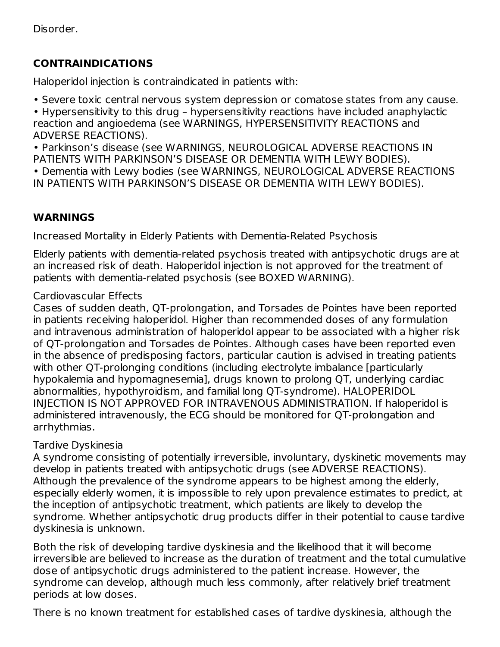Disorder.

# **CONTRAINDICATIONS**

Haloperidol injection is contraindicated in patients with:

• Severe toxic central nervous system depression or comatose states from any cause.

• Hypersensitivity to this drug – hypersensitivity reactions have included anaphylactic reaction and angioedema (see WARNINGS, HYPERSENSITIVITY REACTIONS and ADVERSE REACTIONS).

• Parkinson's disease (see WARNINGS, NEUROLOGICAL ADVERSE REACTIONS IN PATIENTS WITH PARKINSON'S DISEASE OR DEMENTIA WITH LEWY BODIES).

• Dementia with Lewy bodies (see WARNINGS, NEUROLOGICAL ADVERSE REACTIONS IN PATIENTS WITH PARKINSON'S DISEASE OR DEMENTIA WITH LEWY BODIES).

## **WARNINGS**

Increased Mortality in Elderly Patients with Dementia-Related Psychosis

Elderly patients with dementia-related psychosis treated with antipsychotic drugs are at an increased risk of death. Haloperidol injection is not approved for the treatment of patients with dementia-related psychosis (see BOXED WARNING).

#### Cardiovascular Effects

Cases of sudden death, QT-prolongation, and Torsades de Pointes have been reported in patients receiving haloperidol. Higher than recommended doses of any formulation and intravenous administration of haloperidol appear to be associated with a higher risk of QT-prolongation and Torsades de Pointes. Although cases have been reported even in the absence of predisposing factors, particular caution is advised in treating patients with other QT-prolonging conditions (including electrolyte imbalance [particularly hypokalemia and hypomagnesemia], drugs known to prolong QT, underlying cardiac abnormalities, hypothyroidism, and familial long QT-syndrome). HALOPERIDOL INJECTION IS NOT APPROVED FOR INTRAVENOUS ADMINISTRATION. If haloperidol is administered intravenously, the ECG should be monitored for QT-prolongation and arrhythmias.

#### Tardive Dyskinesia

A syndrome consisting of potentially irreversible, involuntary, dyskinetic movements may develop in patients treated with antipsychotic drugs (see ADVERSE REACTIONS). Although the prevalence of the syndrome appears to be highest among the elderly, especially elderly women, it is impossible to rely upon prevalence estimates to predict, at the inception of antipsychotic treatment, which patients are likely to develop the syndrome. Whether antipsychotic drug products differ in their potential to cause tardive dyskinesia is unknown.

Both the risk of developing tardive dyskinesia and the likelihood that it will become irreversible are believed to increase as the duration of treatment and the total cumulative dose of antipsychotic drugs administered to the patient increase. However, the syndrome can develop, although much less commonly, after relatively brief treatment periods at low doses.

There is no known treatment for established cases of tardive dyskinesia, although the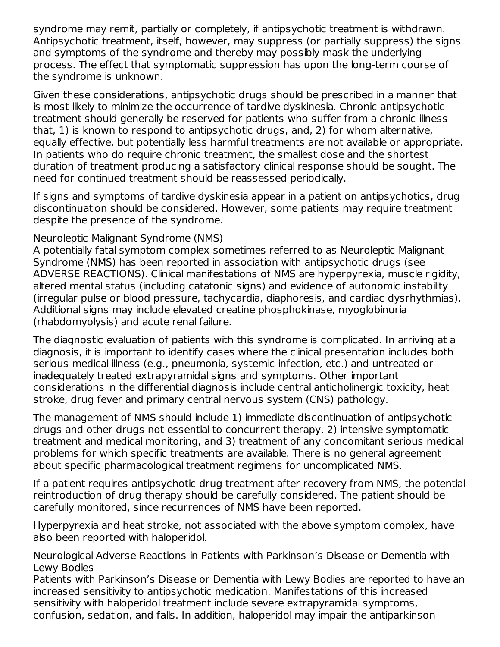syndrome may remit, partially or completely, if antipsychotic treatment is withdrawn. Antipsychotic treatment, itself, however, may suppress (or partially suppress) the signs and symptoms of the syndrome and thereby may possibly mask the underlying process. The effect that symptomatic suppression has upon the long-term course of the syndrome is unknown.

Given these considerations, antipsychotic drugs should be prescribed in a manner that is most likely to minimize the occurrence of tardive dyskinesia. Chronic antipsychotic treatment should generally be reserved for patients who suffer from a chronic illness that, 1) is known to respond to antipsychotic drugs, and, 2) for whom alternative, equally effective, but potentially less harmful treatments are not available or appropriate. In patients who do require chronic treatment, the smallest dose and the shortest duration of treatment producing a satisfactory clinical response should be sought. The need for continued treatment should be reassessed periodically.

If signs and symptoms of tardive dyskinesia appear in a patient on antipsychotics, drug discontinuation should be considered. However, some patients may require treatment despite the presence of the syndrome.

#### Neuroleptic Malignant Syndrome (NMS)

A potentially fatal symptom complex sometimes referred to as Neuroleptic Malignant Syndrome (NMS) has been reported in association with antipsychotic drugs (see ADVERSE REACTIONS). Clinical manifestations of NMS are hyperpyrexia, muscle rigidity, altered mental status (including catatonic signs) and evidence of autonomic instability (irregular pulse or blood pressure, tachycardia, diaphoresis, and cardiac dysrhythmias). Additional signs may include elevated creatine phosphokinase, myoglobinuria (rhabdomyolysis) and acute renal failure.

The diagnostic evaluation of patients with this syndrome is complicated. In arriving at a diagnosis, it is important to identify cases where the clinical presentation includes both serious medical illness (e.g., pneumonia, systemic infection, etc.) and untreated or inadequately treated extrapyramidal signs and symptoms. Other important considerations in the differential diagnosis include central anticholinergic toxicity, heat stroke, drug fever and primary central nervous system (CNS) pathology.

The management of NMS should include 1) immediate discontinuation of antipsychotic drugs and other drugs not essential to concurrent therapy, 2) intensive symptomatic treatment and medical monitoring, and 3) treatment of any concomitant serious medical problems for which specific treatments are available. There is no general agreement about specific pharmacological treatment regimens for uncomplicated NMS.

If a patient requires antipsychotic drug treatment after recovery from NMS, the potential reintroduction of drug therapy should be carefully considered. The patient should be carefully monitored, since recurrences of NMS have been reported.

Hyperpyrexia and heat stroke, not associated with the above symptom complex, have also been reported with haloperidol.

Neurological Adverse Reactions in Patients with Parkinson's Disease or Dementia with Lewy Bodies

Patients with Parkinson's Disease or Dementia with Lewy Bodies are reported to have an increased sensitivity to antipsychotic medication. Manifestations of this increased sensitivity with haloperidol treatment include severe extrapyramidal symptoms, confusion, sedation, and falls. In addition, haloperidol may impair the antiparkinson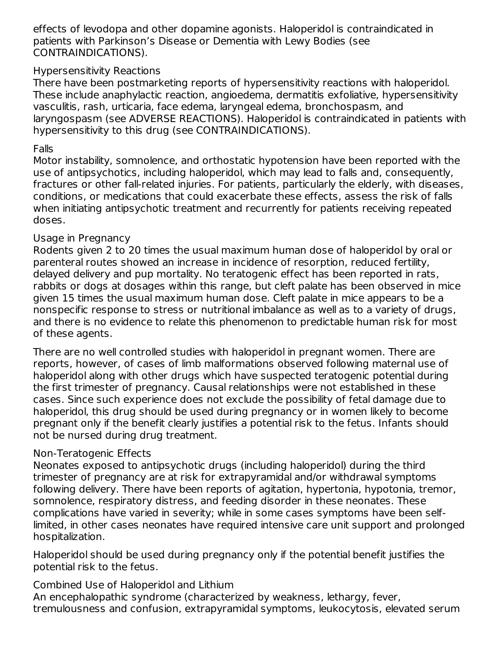effects of levodopa and other dopamine agonists. Haloperidol is contraindicated in patients with Parkinson's Disease or Dementia with Lewy Bodies (see CONTRAINDICATIONS).

### Hypersensitivity Reactions

There have been postmarketing reports of hypersensitivity reactions with haloperidol. These include anaphylactic reaction, angioedema, dermatitis exfoliative, hypersensitivity vasculitis, rash, urticaria, face edema, laryngeal edema, bronchospasm, and laryngospasm (see ADVERSE REACTIONS). Haloperidol is contraindicated in patients with hypersensitivity to this drug (see CONTRAINDICATIONS).

#### Falls

Motor instability, somnolence, and orthostatic hypotension have been reported with the use of antipsychotics, including haloperidol, which may lead to falls and, consequently, fractures or other fall-related injuries. For patients, particularly the elderly, with diseases, conditions, or medications that could exacerbate these effects, assess the risk of falls when initiating antipsychotic treatment and recurrently for patients receiving repeated doses.

### Usage in Pregnancy

Rodents given 2 to 20 times the usual maximum human dose of haloperidol by oral or parenteral routes showed an increase in incidence of resorption, reduced fertility, delayed delivery and pup mortality. No teratogenic effect has been reported in rats, rabbits or dogs at dosages within this range, but cleft palate has been observed in mice given 15 times the usual maximum human dose. Cleft palate in mice appears to be a nonspecific response to stress or nutritional imbalance as well as to a variety of drugs, and there is no evidence to relate this phenomenon to predictable human risk for most of these agents.

There are no well controlled studies with haloperidol in pregnant women. There are reports, however, of cases of limb malformations observed following maternal use of haloperidol along with other drugs which have suspected teratogenic potential during the first trimester of pregnancy. Causal relationships were not established in these cases. Since such experience does not exclude the possibility of fetal damage due to haloperidol, this drug should be used during pregnancy or in women likely to become pregnant only if the benefit clearly justifies a potential risk to the fetus. Infants should not be nursed during drug treatment.

#### Non-Teratogenic Effects

Neonates exposed to antipsychotic drugs (including haloperidol) during the third trimester of pregnancy are at risk for extrapyramidal and/or withdrawal symptoms following delivery. There have been reports of agitation, hypertonia, hypotonia, tremor, somnolence, respiratory distress, and feeding disorder in these neonates. These complications have varied in severity; while in some cases symptoms have been selflimited, in other cases neonates have required intensive care unit support and prolonged hospitalization.

Haloperidol should be used during pregnancy only if the potential benefit justifies the potential risk to the fetus.

Combined Use of Haloperidol and Lithium An encephalopathic syndrome (characterized by weakness, lethargy, fever, tremulousness and confusion, extrapyramidal symptoms, leukocytosis, elevated serum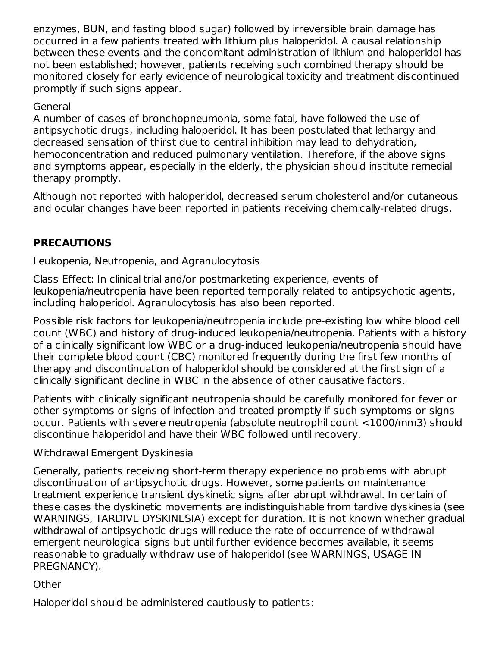enzymes, BUN, and fasting blood sugar) followed by irreversible brain damage has occurred in a few patients treated with lithium plus haloperidol. A causal relationship between these events and the concomitant administration of lithium and haloperidol has not been established; however, patients receiving such combined therapy should be monitored closely for early evidence of neurological toxicity and treatment discontinued promptly if such signs appear.

### General

A number of cases of bronchopneumonia, some fatal, have followed the use of antipsychotic drugs, including haloperidol. It has been postulated that lethargy and decreased sensation of thirst due to central inhibition may lead to dehydration, hemoconcentration and reduced pulmonary ventilation. Therefore, if the above signs and symptoms appear, especially in the elderly, the physician should institute remedial therapy promptly.

Although not reported with haloperidol, decreased serum cholesterol and/or cutaneous and ocular changes have been reported in patients receiving chemically-related drugs.

# **PRECAUTIONS**

Leukopenia, Neutropenia, and Agranulocytosis

Class Effect: In clinical trial and/or postmarketing experience, events of leukopenia/neutropenia have been reported temporally related to antipsychotic agents, including haloperidol. Agranulocytosis has also been reported.

Possible risk factors for leukopenia/neutropenia include pre-existing low white blood cell count (WBC) and history of drug-induced leukopenia/neutropenia. Patients with a history of a clinically significant low WBC or a drug-induced leukopenia/neutropenia should have their complete blood count (CBC) monitored frequently during the first few months of therapy and discontinuation of haloperidol should be considered at the first sign of a clinically significant decline in WBC in the absence of other causative factors.

Patients with clinically significant neutropenia should be carefully monitored for fever or other symptoms or signs of infection and treated promptly if such symptoms or signs occur. Patients with severe neutropenia (absolute neutrophil count <1000/mm3) should discontinue haloperidol and have their WBC followed until recovery.

#### Withdrawal Emergent Dyskinesia

Generally, patients receiving short-term therapy experience no problems with abrupt discontinuation of antipsychotic drugs. However, some patients on maintenance treatment experience transient dyskinetic signs after abrupt withdrawal. In certain of these cases the dyskinetic movements are indistinguishable from tardive dyskinesia (see WARNINGS, TARDIVE DYSKINESIA) except for duration. It is not known whether gradual withdrawal of antipsychotic drugs will reduce the rate of occurrence of withdrawal emergent neurological signs but until further evidence becomes available, it seems reasonable to gradually withdraw use of haloperidol (see WARNINGS, USAGE IN PREGNANCY).

## **Other**

Haloperidol should be administered cautiously to patients: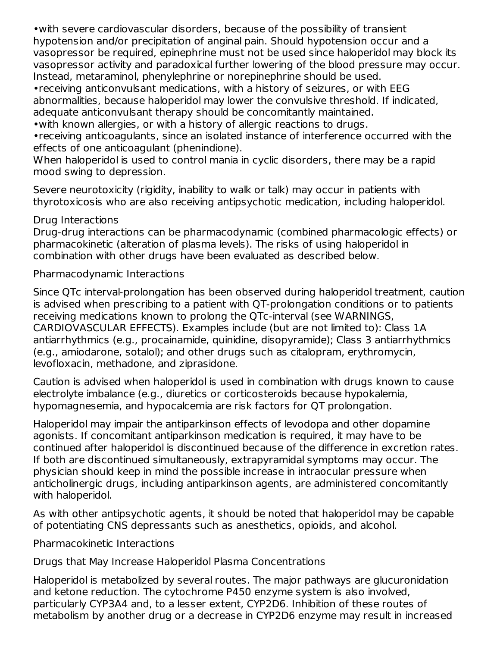•with severe cardiovascular disorders, because of the possibility of transient hypotension and/or precipitation of anginal pain. Should hypotension occur and a vasopressor be required, epinephrine must not be used since haloperidol may block its vasopressor activity and paradoxical further lowering of the blood pressure may occur. Instead, metaraminol, phenylephrine or norepinephrine should be used.

•receiving anticonvulsant medications, with a history of seizures, or with EEG abnormalities, because haloperidol may lower the convulsive threshold. If indicated, adequate anticonvulsant therapy should be concomitantly maintained.

•with known allergies, or with a history of allergic reactions to drugs.

•receiving anticoagulants, since an isolated instance of interference occurred with the effects of one anticoagulant (phenindione).

When haloperidol is used to control mania in cyclic disorders, there may be a rapid mood swing to depression.

Severe neurotoxicity (rigidity, inability to walk or talk) may occur in patients with thyrotoxicosis who are also receiving antipsychotic medication, including haloperidol.

### Drug Interactions

Drug-drug interactions can be pharmacodynamic (combined pharmacologic effects) or pharmacokinetic (alteration of plasma levels). The risks of using haloperidol in combination with other drugs have been evaluated as described below.

### Pharmacodynamic Interactions

Since QTc interval-prolongation has been observed during haloperidol treatment, caution is advised when prescribing to a patient with QT-prolongation conditions or to patients receiving medications known to prolong the QTc-interval (see WARNINGS, CARDIOVASCULAR EFFECTS). Examples include (but are not limited to): Class 1A antiarrhythmics (e.g., procainamide, quinidine, disopyramide); Class 3 antiarrhythmics (e.g., amiodarone, sotalol); and other drugs such as citalopram, erythromycin, levofloxacin, methadone, and ziprasidone.

Caution is advised when haloperidol is used in combination with drugs known to cause electrolyte imbalance (e.g., diuretics or corticosteroids because hypokalemia, hypomagnesemia, and hypocalcemia are risk factors for QT prolongation.

Haloperidol may impair the antiparkinson effects of levodopa and other dopamine agonists. If concomitant antiparkinson medication is required, it may have to be continued after haloperidol is discontinued because of the difference in excretion rates. If both are discontinued simultaneously, extrapyramidal symptoms may occur. The physician should keep in mind the possible increase in intraocular pressure when anticholinergic drugs, including antiparkinson agents, are administered concomitantly with haloperidol.

As with other antipsychotic agents, it should be noted that haloperidol may be capable of potentiating CNS depressants such as anesthetics, opioids, and alcohol.

#### Pharmacokinetic Interactions

Drugs that May Increase Haloperidol Plasma Concentrations

Haloperidol is metabolized by several routes. The major pathways are glucuronidation and ketone reduction. The cytochrome P450 enzyme system is also involved, particularly CYP3A4 and, to a lesser extent, CYP2D6. Inhibition of these routes of metabolism by another drug or a decrease in CYP2D6 enzyme may result in increased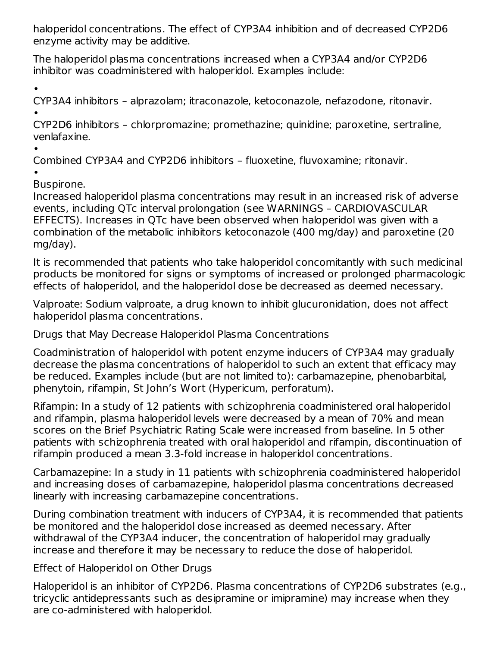haloperidol concentrations. The effect of CYP3A4 inhibition and of decreased CYP2D6 enzyme activity may be additive.

The haloperidol plasma concentrations increased when a CYP3A4 and/or CYP2D6 inhibitor was coadministered with haloperidol. Examples include:

•

CYP3A4 inhibitors – alprazolam; itraconazole, ketoconazole, nefazodone, ritonavir. •

CYP2D6 inhibitors – chlorpromazine; promethazine; quinidine; paroxetine, sertraline, venlafaxine.

•

Combined CYP3A4 and CYP2D6 inhibitors – fluoxetine, fluvoxamine; ritonavir.

• Buspirone.

Increased haloperidol plasma concentrations may result in an increased risk of adverse events, including QTc interval prolongation (see WARNINGS – CARDIOVASCULAR EFFECTS). Increases in QTc have been observed when haloperidol was given with a combination of the metabolic inhibitors ketoconazole (400 mg/day) and paroxetine (20 mg/day).

It is recommended that patients who take haloperidol concomitantly with such medicinal products be monitored for signs or symptoms of increased or prolonged pharmacologic effects of haloperidol, and the haloperidol dose be decreased as deemed necessary.

Valproate: Sodium valproate, a drug known to inhibit glucuronidation, does not affect haloperidol plasma concentrations.

Drugs that May Decrease Haloperidol Plasma Concentrations

Coadministration of haloperidol with potent enzyme inducers of CYP3A4 may gradually decrease the plasma concentrations of haloperidol to such an extent that efficacy may be reduced. Examples include (but are not limited to): carbamazepine, phenobarbital, phenytoin, rifampin, St John's Wort (Hypericum, perforatum).

Rifampin: In a study of 12 patients with schizophrenia coadministered oral haloperidol and rifampin, plasma haloperidol levels were decreased by a mean of 70% and mean scores on the Brief Psychiatric Rating Scale were increased from baseline. In 5 other patients with schizophrenia treated with oral haloperidol and rifampin, discontinuation of rifampin produced a mean 3.3-fold increase in haloperidol concentrations.

Carbamazepine: In a study in 11 patients with schizophrenia coadministered haloperidol and increasing doses of carbamazepine, haloperidol plasma concentrations decreased linearly with increasing carbamazepine concentrations.

During combination treatment with inducers of CYP3A4, it is recommended that patients be monitored and the haloperidol dose increased as deemed necessary. After withdrawal of the CYP3A4 inducer, the concentration of haloperidol may gradually increase and therefore it may be necessary to reduce the dose of haloperidol.

Effect of Haloperidol on Other Drugs

Haloperidol is an inhibitor of CYP2D6. Plasma concentrations of CYP2D6 substrates (e.g., tricyclic antidepressants such as desipramine or imipramine) may increase when they are co-administered with haloperidol.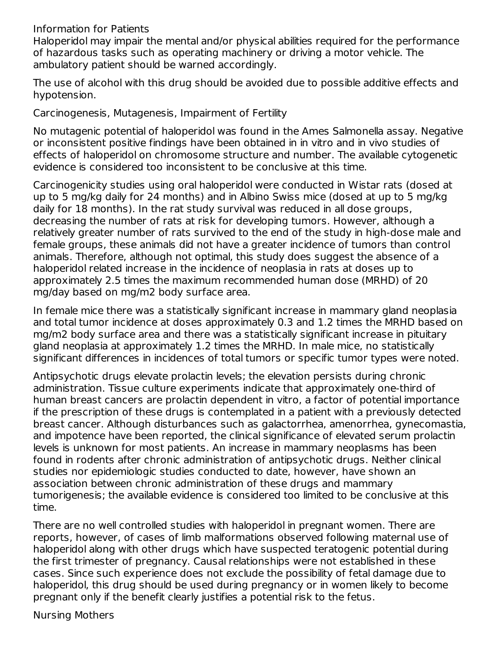Information for Patients

Haloperidol may impair the mental and/or physical abilities required for the performance of hazardous tasks such as operating machinery or driving a motor vehicle. The ambulatory patient should be warned accordingly.

The use of alcohol with this drug should be avoided due to possible additive effects and hypotension.

Carcinogenesis, Mutagenesis, Impairment of Fertility

No mutagenic potential of haloperidol was found in the Ames Salmonella assay. Negative or inconsistent positive findings have been obtained in in vitro and in vivo studies of effects of haloperidol on chromosome structure and number. The available cytogenetic evidence is considered too inconsistent to be conclusive at this time.

Carcinogenicity studies using oral haloperidol were conducted in Wistar rats (dosed at up to 5 mg/kg daily for 24 months) and in Albino Swiss mice (dosed at up to 5 mg/kg daily for 18 months). In the rat study survival was reduced in all dose groups, decreasing the number of rats at risk for developing tumors. However, although a relatively greater number of rats survived to the end of the study in high-dose male and female groups, these animals did not have a greater incidence of tumors than control animals. Therefore, although not optimal, this study does suggest the absence of a haloperidol related increase in the incidence of neoplasia in rats at doses up to approximately 2.5 times the maximum recommended human dose (MRHD) of 20 mg/day based on mg/m2 body surface area.

In female mice there was a statistically significant increase in mammary gland neoplasia and total tumor incidence at doses approximately 0.3 and 1.2 times the MRHD based on mg/m2 body surface area and there was a statistically significant increase in pituitary gland neoplasia at approximately 1.2 times the MRHD. In male mice, no statistically significant differences in incidences of total tumors or specific tumor types were noted.

Antipsychotic drugs elevate prolactin levels; the elevation persists during chronic administration. Tissue culture experiments indicate that approximately one-third of human breast cancers are prolactin dependent in vitro, a factor of potential importance if the prescription of these drugs is contemplated in a patient with a previously detected breast cancer. Although disturbances such as galactorrhea, amenorrhea, gynecomastia, and impotence have been reported, the clinical significance of elevated serum prolactin levels is unknown for most patients. An increase in mammary neoplasms has been found in rodents after chronic administration of antipsychotic drugs. Neither clinical studies nor epidemiologic studies conducted to date, however, have shown an association between chronic administration of these drugs and mammary tumorigenesis; the available evidence is considered too limited to be conclusive at this time.

There are no well controlled studies with haloperidol in pregnant women. There are reports, however, of cases of limb malformations observed following maternal use of haloperidol along with other drugs which have suspected teratogenic potential during the first trimester of pregnancy. Causal relationships were not established in these cases. Since such experience does not exclude the possibility of fetal damage due to haloperidol, this drug should be used during pregnancy or in women likely to become pregnant only if the benefit clearly justifies a potential risk to the fetus.

Nursing Mothers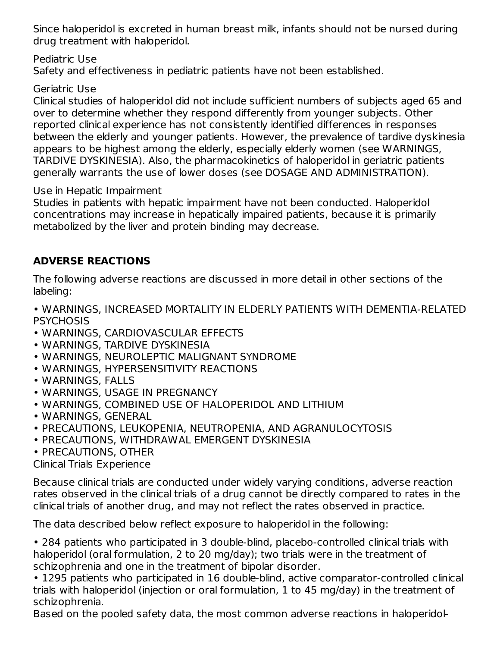Since haloperidol is excreted in human breast milk, infants should not be nursed during drug treatment with haloperidol.

Pediatric Use

Safety and effectiveness in pediatric patients have not been established.

Geriatric Use

Clinical studies of haloperidol did not include sufficient numbers of subjects aged 65 and over to determine whether they respond differently from younger subjects. Other reported clinical experience has not consistently identified differences in responses between the elderly and younger patients. However, the prevalence of tardive dyskinesia appears to be highest among the elderly, especially elderly women (see WARNINGS, TARDIVE DYSKINESIA). Also, the pharmacokinetics of haloperidol in geriatric patients generally warrants the use of lower doses (see DOSAGE AND ADMINISTRATION).

Use in Hepatic Impairment

Studies in patients with hepatic impairment have not been conducted. Haloperidol concentrations may increase in hepatically impaired patients, because it is primarily metabolized by the liver and protein binding may decrease.

# **ADVERSE REACTIONS**

The following adverse reactions are discussed in more detail in other sections of the labeling:

• WARNINGS, INCREASED MORTALITY IN ELDERLY PATIENTS WITH DEMENTIA-RELATED **PSYCHOSIS** 

- WARNINGS, CARDIOVASCULAR EFFECTS
- WARNINGS, TARDIVE DYSKINESIA
- WARNINGS, NEUROLEPTIC MALIGNANT SYNDROME
- WARNINGS, HYPERSENSITIVITY REACTIONS
- WARNINGS, FALLS
- WARNINGS, USAGE IN PREGNANCY
- WARNINGS, COMBINED USE OF HALOPERIDOL AND LITHIUM
- WARNINGS, GENERAL
- PRECAUTIONS, LEUKOPENIA, NEUTROPENIA, AND AGRANULOCYTOSIS
- PRECAUTIONS, WITHDRAWAL EMERGENT DYSKINESIA
- PRECAUTIONS, OTHER

Clinical Trials Experience

Because clinical trials are conducted under widely varying conditions, adverse reaction rates observed in the clinical trials of a drug cannot be directly compared to rates in the clinical trials of another drug, and may not reflect the rates observed in practice.

The data described below reflect exposure to haloperidol in the following:

• 284 patients who participated in 3 double-blind, placebo-controlled clinical trials with haloperidol (oral formulation, 2 to 20 mg/day); two trials were in the treatment of schizophrenia and one in the treatment of bipolar disorder.

• 1295 patients who participated in 16 double-blind, active comparator-controlled clinical trials with haloperidol (injection or oral formulation, 1 to 45 mg/day) in the treatment of schizophrenia.

Based on the pooled safety data, the most common adverse reactions in haloperidol-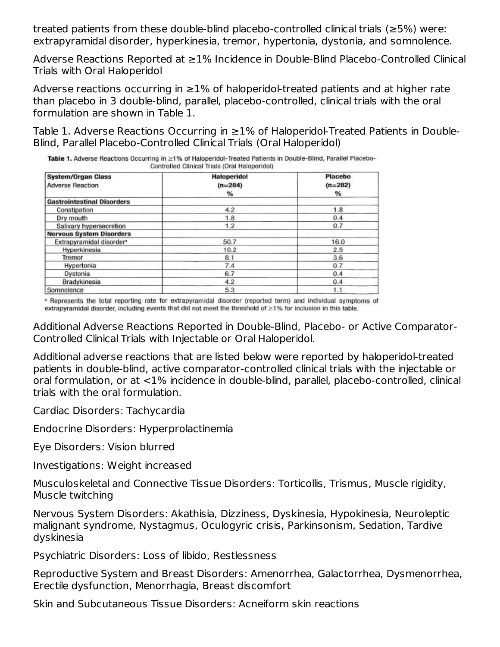treated patients from these double-blind placebo-controlled clinical trials (≥5%) were: extrapyramidal disorder, hyperkinesia, tremor, hypertonia, dystonia, and somnolence.

Adverse Reactions Reported at ≥1% Incidence in Double-Blind Placebo-Controlled Clinical Trials with Oral Haloperidol

Adverse reactions occurring in  $\geq$ 1% of haloperidol-treated patients and at higher rate than placebo in 3 double-blind, parallel, placebo-controlled, clinical trials with the oral formulation are shown in Table 1.

Table 1. Adverse Reactions Occurring in ≥1% of Haloperidol-Treated Patients in Double-Blind, Parallel Placebo-Controlled Clinical Trials (Oral Haloperidol)

| Table 1. Adverse Reactions Occurring in ≥1% of Haloperidol-Treated Patients in Double-Blind, Parallel Placebo- |  |  |  |  |
|----------------------------------------------------------------------------------------------------------------|--|--|--|--|
| Controlled Clinical Trials (Oral Haloperidol)                                                                  |  |  |  |  |

| <b>System/Organ Class</b>            | <b>Haloperidol</b> | Placebo   |  |  |
|--------------------------------------|--------------------|-----------|--|--|
| <b>Adverse Reaction</b>              | $(n=284)$          | $(n=282)$ |  |  |
|                                      | %                  | %         |  |  |
| <b>Gastrointestinal Disorders</b>    |                    |           |  |  |
| Constipation                         | 4.2                | 1.8       |  |  |
| Dry mouth                            | 1.8                | 0.4       |  |  |
| Salivary hypersecretion              | 1.2                | 0.7       |  |  |
| <b>Nervous System Disorders</b>      |                    |           |  |  |
| Extrapyramidal disorder <sup>®</sup> | 50.7               | 16.0      |  |  |
| Hyperkinesia                         | 10.2               | 2.5       |  |  |
| Tremor                               | 8.1                | 3.6       |  |  |
| Hypertonia                           | 7.4                | 0.7       |  |  |
| Dystonia                             | 6.7                | 0.4       |  |  |
| <b>Bradykinesia</b>                  | 4.2                | 0.4       |  |  |
| Somnolence                           | 5.3                | 1.1       |  |  |

\* Represents the total reporting rate for extrapyramidal disorder (reported term) and individual symptoms of extrapyramidal disorder, including events that did not meet the threshold of ≥1% for inclusion in this table.

Additional Adverse Reactions Reported in Double-Blind, Placebo- or Active Comparator-Controlled Clinical Trials with Injectable or Oral Haloperidol.

Additional adverse reactions that are listed below were reported by haloperidol-treated patients in double-blind, active comparator-controlled clinical trials with the injectable or oral formulation, or at <1% incidence in double-blind, parallel, placebo-controlled, clinical trials with the oral formulation.

Cardiac Disorders: Tachycardia

Endocrine Disorders: Hyperprolactinemia

Eye Disorders: Vision blurred

Investigations: Weight increased

Musculoskeletal and Connective Tissue Disorders: Torticollis, Trismus, Muscle rigidity, Muscle twitching

Nervous System Disorders: Akathisia, Dizziness, Dyskinesia, Hypokinesia, Neuroleptic malignant syndrome, Nystagmus, Oculogyric crisis, Parkinsonism, Sedation, Tardive dyskinesia

Psychiatric Disorders: Loss of libido, Restlessness

Reproductive System and Breast Disorders: Amenorrhea, Galactorrhea, Dysmenorrhea, Erectile dysfunction, Menorrhagia, Breast discomfort

Skin and Subcutaneous Tissue Disorders: Acneiform skin reactions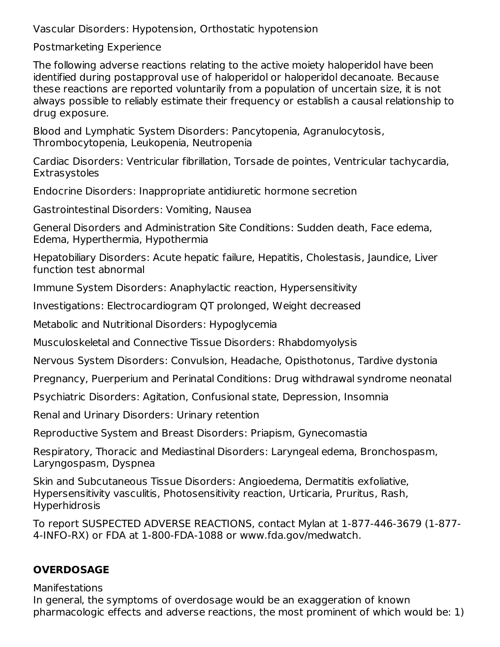Vascular Disorders: Hypotension, Orthostatic hypotension

Postmarketing Experience

The following adverse reactions relating to the active moiety haloperidol have been identified during postapproval use of haloperidol or haloperidol decanoate. Because these reactions are reported voluntarily from a population of uncertain size, it is not always possible to reliably estimate their frequency or establish a causal relationship to drug exposure.

Blood and Lymphatic System Disorders: Pancytopenia, Agranulocytosis, Thrombocytopenia, Leukopenia, Neutropenia

Cardiac Disorders: Ventricular fibrillation, Torsade de pointes, Ventricular tachycardia, **Extrasystoles** 

Endocrine Disorders: Inappropriate antidiuretic hormone secretion

Gastrointestinal Disorders: Vomiting, Nausea

General Disorders and Administration Site Conditions: Sudden death, Face edema, Edema, Hyperthermia, Hypothermia

Hepatobiliary Disorders: Acute hepatic failure, Hepatitis, Cholestasis, Jaundice, Liver function test abnormal

Immune System Disorders: Anaphylactic reaction, Hypersensitivity

Investigations: Electrocardiogram QT prolonged, Weight decreased

Metabolic and Nutritional Disorders: Hypoglycemia

Musculoskeletal and Connective Tissue Disorders: Rhabdomyolysis

Nervous System Disorders: Convulsion, Headache, Opisthotonus, Tardive dystonia

Pregnancy, Puerperium and Perinatal Conditions: Drug withdrawal syndrome neonatal

Psychiatric Disorders: Agitation, Confusional state, Depression, Insomnia

Renal and Urinary Disorders: Urinary retention

Reproductive System and Breast Disorders: Priapism, Gynecomastia

Respiratory, Thoracic and Mediastinal Disorders: Laryngeal edema, Bronchospasm, Laryngospasm, Dyspnea

Skin and Subcutaneous Tissue Disorders: Angioedema, Dermatitis exfoliative, Hypersensitivity vasculitis, Photosensitivity reaction, Urticaria, Pruritus, Rash, Hyperhidrosis

To report SUSPECTED ADVERSE REACTIONS, contact Mylan at 1-877-446-3679 (1-877- 4-INFO-RX) or FDA at 1-800-FDA-1088 or www.fda.gov/medwatch.

# **OVERDOSAGE**

Manifestations

In general, the symptoms of overdosage would be an exaggeration of known pharmacologic effects and adverse reactions, the most prominent of which would be: 1)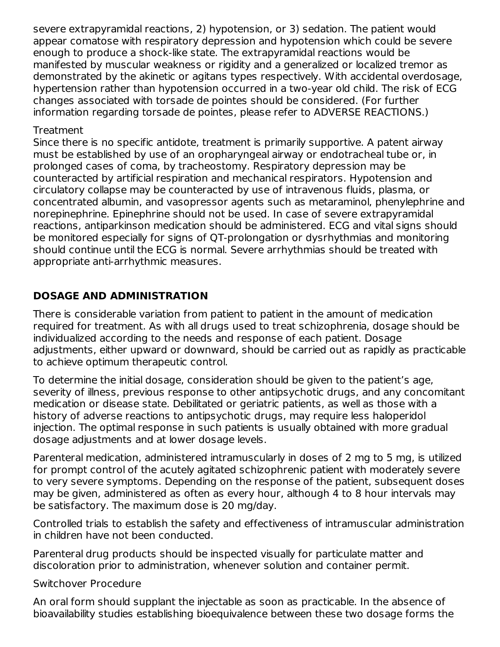severe extrapyramidal reactions, 2) hypotension, or 3) sedation. The patient would appear comatose with respiratory depression and hypotension which could be severe enough to produce a shock-like state. The extrapyramidal reactions would be manifested by muscular weakness or rigidity and a generalized or localized tremor as demonstrated by the akinetic or agitans types respectively. With accidental overdosage, hypertension rather than hypotension occurred in a two-year old child. The risk of ECG changes associated with torsade de pointes should be considered. (For further information regarding torsade de pointes, please refer to ADVERSE REACTIONS.)

#### **Treatment**

Since there is no specific antidote, treatment is primarily supportive. A patent airway must be established by use of an oropharyngeal airway or endotracheal tube or, in prolonged cases of coma, by tracheostomy. Respiratory depression may be counteracted by artificial respiration and mechanical respirators. Hypotension and circulatory collapse may be counteracted by use of intravenous fluids, plasma, or concentrated albumin, and vasopressor agents such as metaraminol, phenylephrine and norepinephrine. Epinephrine should not be used. In case of severe extrapyramidal reactions, antiparkinson medication should be administered. ECG and vital signs should be monitored especially for signs of QT-prolongation or dysrhythmias and monitoring should continue until the ECG is normal. Severe arrhythmias should be treated with appropriate anti-arrhythmic measures.

## **DOSAGE AND ADMINISTRATION**

There is considerable variation from patient to patient in the amount of medication required for treatment. As with all drugs used to treat schizophrenia, dosage should be individualized according to the needs and response of each patient. Dosage adjustments, either upward or downward, should be carried out as rapidly as practicable to achieve optimum therapeutic control.

To determine the initial dosage, consideration should be given to the patient's age, severity of illness, previous response to other antipsychotic drugs, and any concomitant medication or disease state. Debilitated or geriatric patients, as well as those with a history of adverse reactions to antipsychotic drugs, may require less haloperidol injection. The optimal response in such patients is usually obtained with more gradual dosage adjustments and at lower dosage levels.

Parenteral medication, administered intramuscularly in doses of 2 mg to 5 mg, is utilized for prompt control of the acutely agitated schizophrenic patient with moderately severe to very severe symptoms. Depending on the response of the patient, subsequent doses may be given, administered as often as every hour, although 4 to 8 hour intervals may be satisfactory. The maximum dose is 20 mg/day.

Controlled trials to establish the safety and effectiveness of intramuscular administration in children have not been conducted.

Parenteral drug products should be inspected visually for particulate matter and discoloration prior to administration, whenever solution and container permit.

#### Switchover Procedure

An oral form should supplant the injectable as soon as practicable. In the absence of bioavailability studies establishing bioequivalence between these two dosage forms the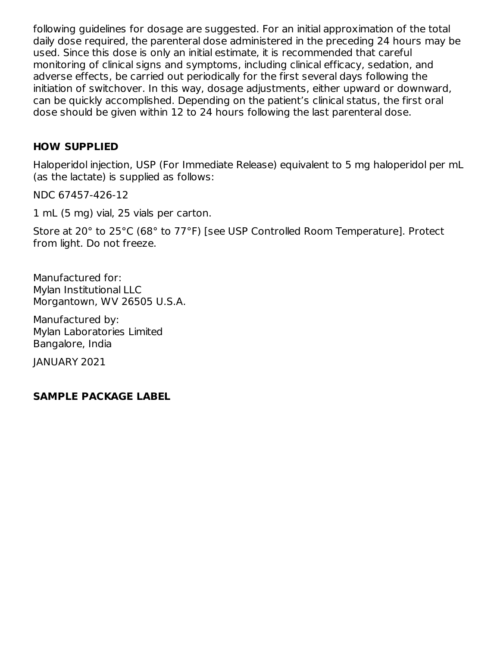following guidelines for dosage are suggested. For an initial approximation of the total daily dose required, the parenteral dose administered in the preceding 24 hours may be used. Since this dose is only an initial estimate, it is recommended that careful monitoring of clinical signs and symptoms, including clinical efficacy, sedation, and adverse effects, be carried out periodically for the first several days following the initiation of switchover. In this way, dosage adjustments, either upward or downward, can be quickly accomplished. Depending on the patient's clinical status, the first oral dose should be given within 12 to 24 hours following the last parenteral dose.

#### **HOW SUPPLIED**

Haloperidol injection, USP (For Immediate Release) equivalent to 5 mg haloperidol per mL (as the lactate) is supplied as follows:

NDC 67457-426-12

1 mL (5 mg) vial, 25 vials per carton.

Store at 20° to 25°C (68° to 77°F) [see USP Controlled Room Temperature]. Protect from light. Do not freeze.

Manufactured for: Mylan Institutional LLC Morgantown, WV 26505 U.S.A.

Manufactured by: Mylan Laboratories Limited Bangalore, India

JANUARY 2021

#### **SAMPLE PACKAGE LABEL**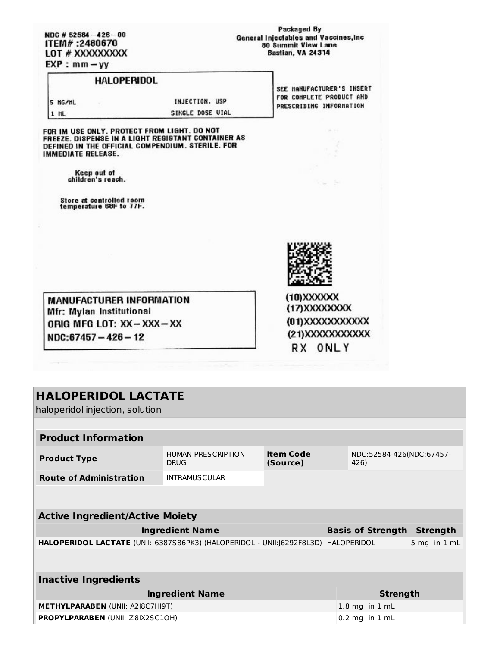NDC # 52584 -426-00 ITEM# :2480670 LOT # XXXXXXXXX

Packaged By General Injectables and Vaccines, Inc. 80 Summit View Lane Bastian, VA 24314

 $EXP: mm - vV$ 

5 HG/ML

 $1$  HL

#### **HALOPERIDOL**

| INJECTION, USP   |  |
|------------------|--|
| SINGLE DOSE VIAL |  |

FOR IM USE ONLY. PROTECT FROM LIGHT. DO NOT FREEZE. DISPENSE IN A LIGHT RESISTANT CONTAINER AS DEFINED IN THE OFFICIAL COMPENDIUM. STERILE. FOR **IMMEDIATE RELEASE.** 

> Keep out of children's reach.

Store at controlled room<br>temperature 68F to 77F.

**MANUFACTURER INFORMATION** Mfr: Mylan Institutional ORIG MFG LOT: XX-XXX-XX NDC:67457-426-12

SEE HANUFACTURER'S INSERT FOR COMPLETE PRODUCT AND PRESCRIBING INFORMATION



(10) XXXXXX (17) XXXXXXXX (01) XXXXXXXXXXX (21) XXXXXXXXXXX RX ONLY

| <b>HALOPERIDOL LACTATE</b><br>haloperidol injection, solution                      |                                          |                              |                 |                                  |                 |  |
|------------------------------------------------------------------------------------|------------------------------------------|------------------------------|-----------------|----------------------------------|-----------------|--|
|                                                                                    |                                          |                              |                 |                                  |                 |  |
| <b>Product Information</b>                                                         |                                          |                              |                 |                                  |                 |  |
| <b>Product Type</b>                                                                | <b>HUMAN PRESCRIPTION</b><br><b>DRUG</b> | <b>Item Code</b><br>(Source) |                 | NDC:52584-426(NDC:67457-<br>426) |                 |  |
| <b>Route of Administration</b>                                                     | <b>INTRAMUSCULAR</b>                     |                              |                 |                                  |                 |  |
| <b>Active Ingredient/Active Moiety</b>                                             |                                          |                              |                 |                                  |                 |  |
| <b>Ingredient Name</b>                                                             |                                          |                              |                 | <b>Basis of Strength</b>         | <b>Strength</b> |  |
| HALOPERIDOL LACTATE (UNII: 6387S86PK3) (HALOPERIDOL - UNII:J6292F8L3D) HALOPERIDOL |                                          |                              |                 | $5$ mg in $1$ mL                 |                 |  |
|                                                                                    |                                          |                              |                 |                                  |                 |  |
| <b>Inactive Ingredients</b>                                                        |                                          |                              |                 |                                  |                 |  |
| <b>Ingredient Name</b>                                                             |                                          |                              | <b>Strength</b> |                                  |                 |  |
| <b>METHYLPARABEN (UNII: A2I8C7HI9T)</b>                                            |                                          |                              | 1.8 mg in 1 mL  |                                  |                 |  |
| <b>PROPYLPARABEN (UNII: Z8IX2SC10H)</b>                                            |                                          |                              |                 | $0.2$ mg in $1$ mL               |                 |  |